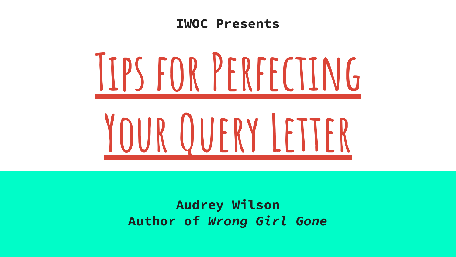#### **IWOC Presents**



**Audrey Wilson Author of** *Wrong Girl Gone*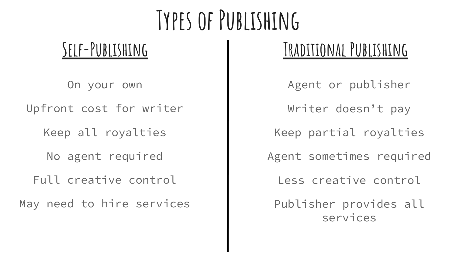# **Types of Publishing**

On your own

Upfront cost for writer

Keep all royalties

No agent required

Full creative control

May need to hire services

#### **Self-Publishing Traditional Publishing**

Agent or publisher Writer doesn't pay Keep partial royalties Agent sometimes required Less creative control Publisher provides all services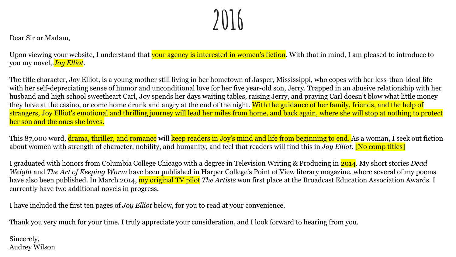#### **2016**

Dear Sir or Madam,

Upon viewing your website, I understand that your agency is interested in women's fiction. With that in mind, I am pleased to introduce to you my novel, *Joy Elliot*.

The title character, Joy Elliot, is a young mother still living in her hometown of Jasper, Mississippi, who copes with her less-than-ideal life with her self-depreciating sense of humor and unconditional love for her five year-old son, Jerry. Trapped in an abusive relationship with her husband and high school sweetheart Carl, Joy spends her days waiting tables, raising Jerry, and praying Carl doesn't blow what little money they have at the casino, or come home drunk and angry at the end of the night. With the guidance of her family, friends, and the help of strangers, Joy Elliot's emotional and thrilling journey will lead her miles from home, and back again, where she will stop at nothing to protect her son and the ones she loves.

This 87,000 word, drama, thriller, and romance will keep readers in Joy's mind and life from beginning to end. As a woman, I seek out fiction about women with strength of character, nobility, and humanity, and feel that readers will find this in *Joy Elliot*. [No comp titles]

I graduated with honors from Columbia College Chicago with a degree in Television Writing & Producing in 2014. My short stories *Dead Weight* and *The Art of Keeping Warm* have been published in Harper College's Point of View literary magazine, where several of my poems have also been published. In March 2014, my original TV pilot *The Artists* won first place at the Broadcast Education Association Awards. I currently have two additional novels in progress.

I have included the first ten pages of *Joy Elliot* below, for you to read at your convenience.

Thank you very much for your time. I truly appreciate your consideration, and I look forward to hearing from you.

Sincerely, Audrey Wilson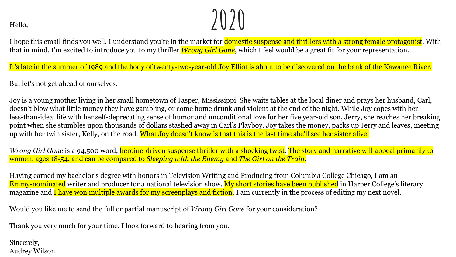$\lim_{\text{Hello.}}$ 

I hope this email finds you well. I understand you're in the market for **domestic suspense and thrillers with a strong female protagonist**. With that in mind, I'm excited to introduce you to my thriller *Wrong Girl Gone*, which I feel would be a great fit for your representation.

It's late in the summer of 1989 and the body of twenty-two-year-old Joy Elliot is about to be discovered on the bank of the Kawanee River.

But let's not get ahead of ourselves.

Joy is a young mother living in her small hometown of Jasper, Mississippi. She waits tables at the local diner and prays her husband, Carl, doesn't blow what little money they have gambling, or come home drunk and violent at the end of the night. While Joy copes with her less-than-ideal life with her self-deprecating sense of humor and unconditional love for her five year-old son, Jerry, she reaches her breaking point when she stumbles upon thousands of dollars stashed away in Carl's Playboy. Joy takes the money, packs up Jerry and leaves, meeting up with her twin sister, Kelly, on the road. What Joy doesn't know is that this is the last time she'll see her sister alive.

*Wrong Girl Gone* is a 94,500 word, heroine-driven suspense thriller with a shocking twist. The story and narrative will appeal primarily to women, ages 18-54, and can be compared to *Sleeping with the Enemy* and *The Girl on the Train*.

Having earned my bachelor's degree with honors in Television Writing and Producing from Columbia College Chicago, I am an Emmy-nominated writer and producer for a national television show. My short stories have been published in Harper College's literary magazine and I have won multiple awards for my screenplays and fiction. I am currently in the process of editing my next novel.

Would you like me to send the full or partial manuscript of *Wrong Girl Gone* for your consideration?

Thank you very much for your time. I look forward to hearing from you.

Sincerely, Audrey Wilson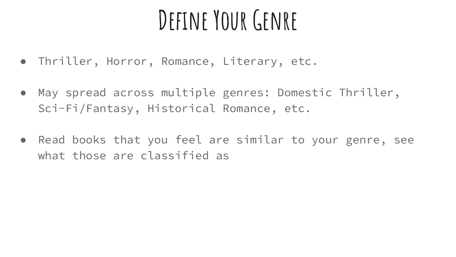## **Define Your Genre**

- Thriller, Horror, Romance, Literary, etc.
- May spread across multiple genres: Domestic Thriller, Sci-Fi/Fantasy, Historical Romance, etc.
- Read books that you feel are similar to your genre, see what those are classified as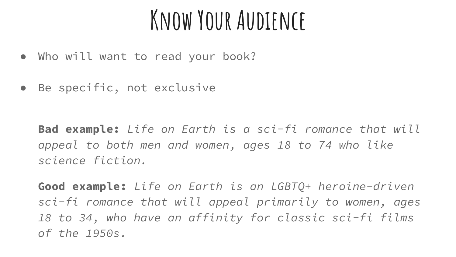#### **Know Your Audience**

- Who will want to read your book?
- Be specific, not exclusive

**Bad example:** *Life on Earth is a sci-fi romance that will appeal to both men and women, ages 18 to 74 who like science fiction.*

**Good example:** *Life on Earth is an LGBTQ+ heroine-driven sci-fi romance that will appeal primarily to women, ages 18 to 34, who have an affinity for classic sci-fi films of the 1950s.*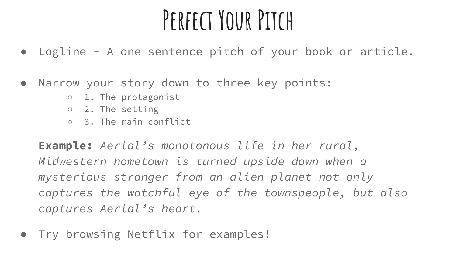### **Perfect Your Pitch**

- Logline A one sentence pitch of your book or article.
- Narrow your story down to three key points:
	- 1. The protagonist
	- 2. The setting
	- 3. The main conflict

**Example:** *Aerial's monotonous life in her rural, Midwestern hometown is turned upside down when a mysterious stranger from an alien planet not only captures the watchful eye of the townspeople, but also captures Aerial's heart.*

Try browsing Netflix for examples!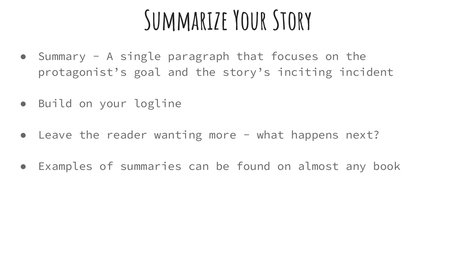#### **Summarize Your Story**

- Summary A single paragraph that focuses on the protagonist's goal and the story's inciting incident
- Build on your logline
- Leave the reader wanting more what happens next?
- Examples of summaries can be found on almost any book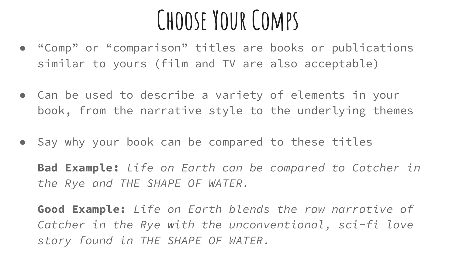#### **Choose Your Comps**

- "Comp" or "comparison" titles are books or publications similar to yours (film and TV are also acceptable)
- Can be used to describe a variety of elements in your book, from the narrative style to the underlying themes
- Say why your book can be compared to these titles

**Bad Example:** *Life on Earth can be compared to Catcher in the Rye and THE SHAPE OF WATER.*

**Good Example:** *Life on Earth blends the raw narrative of Catcher in the Rye with the unconventional, sci-fi love story found in THE SHAPE OF WATER.*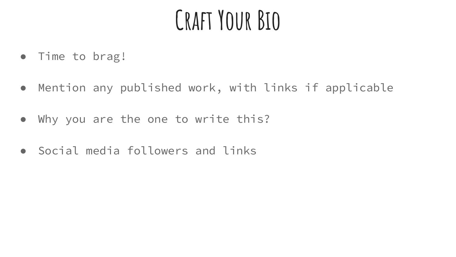### **Craft Your Bio**

- Time to brag!
- Mention any published work, with links if applicable
- Why you are the one to write this?
- Social media followers and links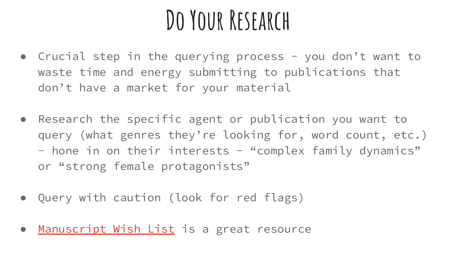#### **Do Your Research**

- Crucial step in the querying process you don't want to waste time and energy submitting to publications that don't have a market for your material
- Research the specific agent or publication you want to query (what genres they're looking for, word count, etc.) - hone in on their interests - "complex family dynamics" or "strong female protagonists"
- Query with caution (look for red flags)
- [Manuscript Wish List](https://www.manuscriptwishlist.com/) is a great resource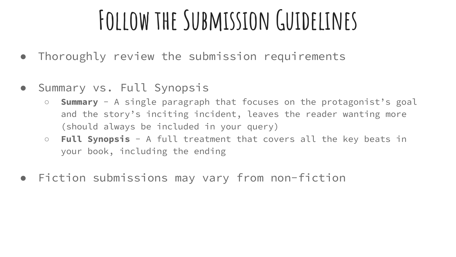# **Follow the Submission Guidelines**

- Thoroughly review the submission requirements
- Summary vs. Full Synopsis
	- **Summary** A single paragraph that focuses on the protagonist's goal and the story's inciting incident, leaves the reader wanting more (should always be included in your query)
	- **Full Synopsis** A full treatment that covers all the key beats in your book, including the ending
- Fiction submissions may vary from non-fiction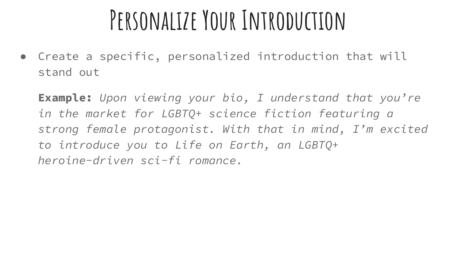#### **Personalize Your Introduction**

• Create a specific, personalized introduction that will stand out

**Example:** *Upon viewing your bio, I understand that you're in the market for LGBTQ+ science fiction featuring a strong female protagonist. With that in mind, I'm excited to introduce you to Life on Earth, an LGBTQ+ heroine-driven sci-fi romance.*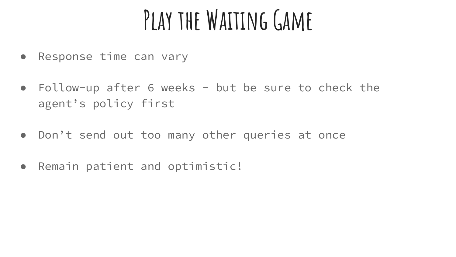# **Play the Waiting Game**

- Response time can vary
- Follow-up after 6 weeks but be sure to check the agent's policy first
- Don't send out too many other queries at once
- Remain patient and optimistic!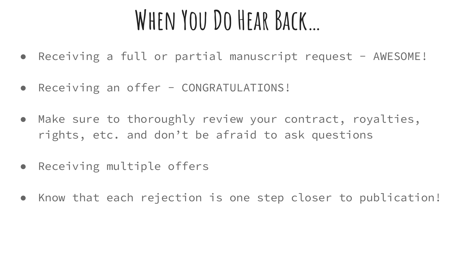#### **When You Do Hear Back…**

- Receiving a full or partial manuscript request AWESOME!
- Receiving an offer CONGRATULATIONS!
- Make sure to thoroughly review your contract, royalties, rights, etc. and don't be afraid to ask questions
- Receiving multiple offers
- Know that each rejection is one step closer to publication!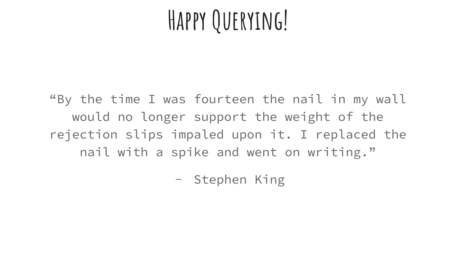### **Happy Querying!**

"By the time I was fourteen the nail in my wall would no longer support the weight of the rejection slips impaled upon it. I replaced the nail with a spike and went on writing."

- Stephen King